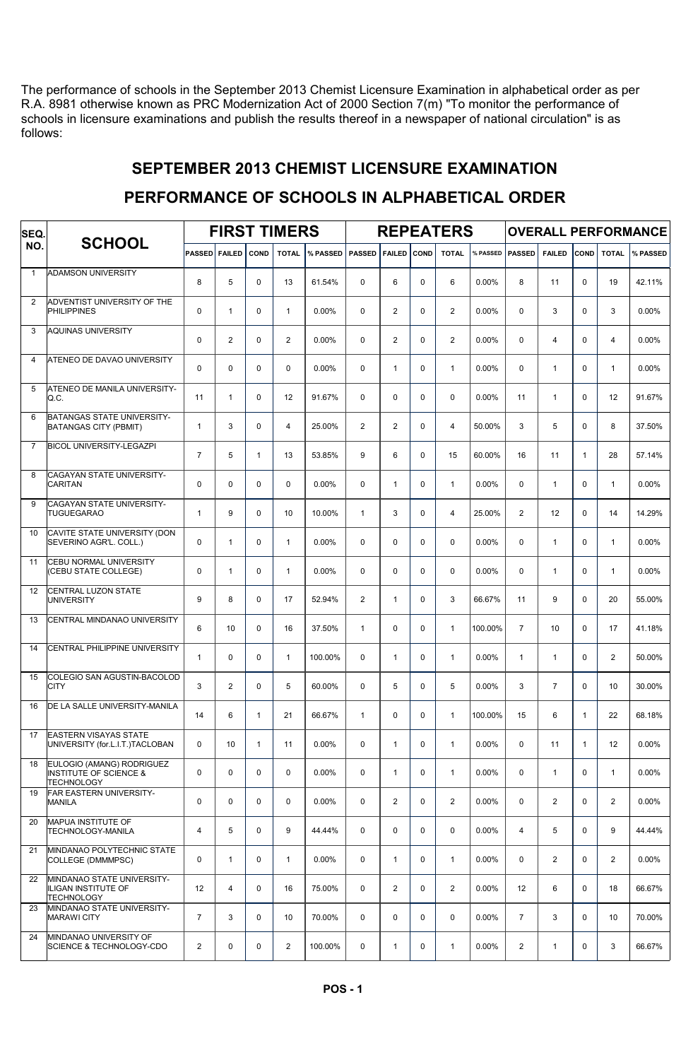The performance of schools in the September 2013 Chemist Licensure Examination in alphabetical order as per R.A. 8981 otherwise known as PRC Modernization Act of 2000 Section 7(m) "To monitor the performance of schools in licensure examinations and publish the results thereof in a newspaper of national circulation" is as follows:

## SEPTEMBER 2013 CHEMIST LICENSURE EXAMINATION

#### FIRST TIMERS | REPEATERS | OVERALL PERFORMANCE SCHOOL PASSED FAILED COND TOTAL % PASSED PASSED FAILED COND TOTAL % PASSED FAILED COND TOTAL % PASSED SEQ. NO. ADAMSON UNIVERSITY 8 | 5 | 0 | 13 |61.54% | 0 | 6 | 0 | 6 |0.00% | 8 | 11 | 0 | 19 |42.11% 1 ADVENTIST UNIVERSITY OF THE<br>PHILIPPINES PHILIPPINES 0 1 0 1 0.00% 0 2 0 2 0.00% 0 3 0 3 0.00% 2 AQUINAS UNIVERSITY  $0$   $2$   $0$   $2$   $0.00\%$   $0$   $1$   $2$   $0$   $1$   $2$   $0.00\%$   $0$   $1$   $4$   $1$   $0$   $1$   $4$   $1$   $0.00\%$ 3 ATENEO DE DAVAO UNIVERSITY 0 0 0 0 0.00% 0 1 0 1 0.00% 0 1 0 1 0.00% 4 ATENEO DE MANILA UNIVERSITY-<br>O C Q.C. 11 1 0 12 91.67% 0 0 0 0 0.00% 11 1 0 12 91.67% 5 BATANGAS STATE UNIVERSITY-BATANGAS CITY (PBMIT) 1 3 0 4 25.00% 2 2 0 4 50.00% 3 5 0 8 37.50% 6 BICOL UNIVERSITY-LEGAZPI 7 5 1 13 53.85% 9 6 0 15 60.00% 16 11 1 28 57.14% 7 CAGAYAN STATE UNIVERSITY-CARITAN 0 0 0 0 0.00% 0 1 0 1 0.00% 0 1 0 1 0.00% 8 CAGAYAN STATE UNIVERSITY<mark>-</mark><br>TUGUEGARAO TUGUEGARAO 1 | 9 | 0 | 10 | 100% | 1 | 3 | 0 | 4 |25.00% | 2 | 12 | 0 | 14 | 14.29%  $\overline{a}$ CAVITE STATE UNIVERSITY (DON SEVERINO AGR'L. COLL.) 0 1 0 1 0.00% 0 0 0 0 0.00% 0 1 0 1 0.00% 10 CEBU NORMAL UNIVERSITY (CEBU STATE COLLEGE) 0 1 0 1 0 .00% 0 0 0 0 0 0 .00% 0 1 0 0 0 0 0 % 11 CENTRAL LUZON STAT<mark>E</mark><br>UNIVERSITY UNIVERSITY | 9 | 8 | 0 | 17 | 52.94% | 2 | 1 | 0 | 3 | 66.67% | 11 | 9 | 0 | 20 | 55.00% 12 CENTRAL MINDANAO UNIVERSITY 6 10 0 16 37.50% 1 0 0 1 100.00% 7 10 0 17 41.18% 13 CENTRAL PHILIPPINE UNIVERSITY 1 | 0 | 0 | 1 |100.00% | 0 | 1 | 0 | 1 | 0.00% | 1 | 1 | 0 | 2 | 50.00% 14 COLEGIO SAN AGUSTIN-BACOLOD CITY 3 2 0 5 60.00% 0 5 0 0 5 0 0.00% 3 7 0 10 10 30.00% 15 DE LA SALLE UNIVERSITY-MANILA 14 6 1 21 66.67% 1 0 0 1 100.00% 15 6 1 22 68.18% 16 EASTERN VISAYAS STATE UNIVERSITY (for.L.I.T.)TACLOBAN 0 10 1 11 0.00% 0 1 0 1 0.00% 0 11 1 12 0.00% 17 EULOGIO (AMANG) RODRIGUEZ INSTITUTE OF SCIENCE & **TECHNOLOGY** 0 0 0 0 0.00% 0 1 0 1 0.00% 0 1 0 1 0.00% 18 FAR EASTERN UNIVERSITY-<br>MANILA MANILA 0 0 0 0 0.00% 0 2 0 2 0.00% 0 2 0 2 0.00% 19 MAPUA INSTITUTE OF TECHNOLOGY-MANILA 4 5 0 9 44.44% 0 0 0 0 0.00% 4 5 0 9 44.44% 20 MINDANAO POLYTECHNIC STATE COLLEGE (DMMMPSC) 0 1 0 1 0.00% 0 1 0 1 0.00% 0 2 0 2 0.00% 21 MINDANAO STATE UNIVERSITY-ILIGAN INSTITUTE OF **TECHNOLOGY** 12 4 0 16 75.00% 0 2 0 2 0.00% 12 6 0 18 66.67% 22 .<br>MINDANAO STATE UNIVERSITY-<br>MARAWI CITY MARAWI CITY | 7 | 3 | 0 | 10 | 70.00% | 0 | 0 | 0 | 0 | 0.00% | 7 | 3 | 0 | 10 | 70.00% 23 MINDANAO UNIVERSITY OF SCIENCE & TECHNOLOGY-CDO 2 0 0 2 100.00% 0 1 0 1 0.00% 2 1 0 3 66.67% 24

# PERFORMANCE OF SCHOOLS IN ALPHABETICAL ORDER